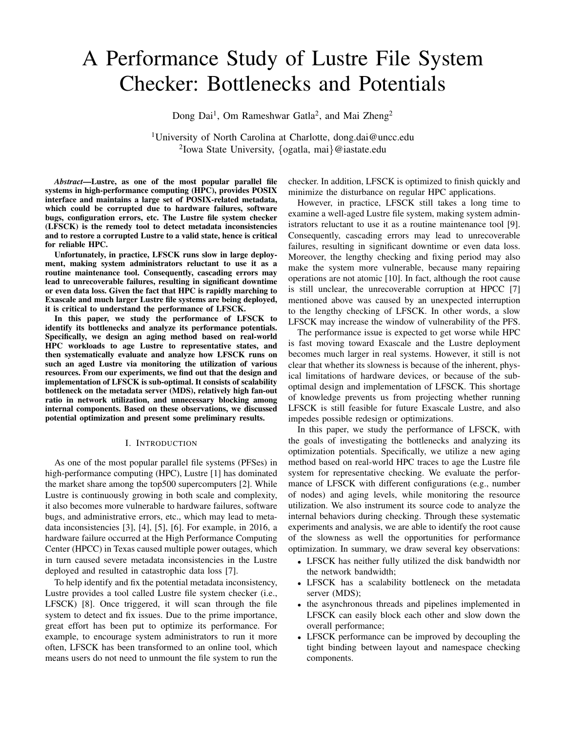# A Performance Study of Lustre File System Checker: Bottlenecks and Potentials

Dong Dai<sup>1</sup>, Om Rameshwar Gatla<sup>2</sup>, and Mai Zheng<sup>2</sup>

<sup>1</sup>University of North Carolina at Charlotte, dong.dai@uncc.edu 2 Iowa State University, {ogatla, mai}@iastate.edu

*Abstract*—Lustre, as one of the most popular parallel file systems in high-performance computing (HPC), provides POSIX interface and maintains a large set of POSIX-related metadata, which could be corrupted due to hardware failures, software bugs, configuration errors, etc. The Lustre file system checker (LFSCK) is the remedy tool to detect metadata inconsistencies and to restore a corrupted Lustre to a valid state, hence is critical for reliable HPC.

Unfortunately, in practice, LFSCK runs slow in large deployment, making system administrators reluctant to use it as a routine maintenance tool. Consequently, cascading errors may lead to unrecoverable failures, resulting in significant downtime or even data loss. Given the fact that HPC is rapidly marching to Exascale and much larger Lustre file systems are being deployed, it is critical to understand the performance of LFSCK.

In this paper, we study the performance of LFSCK to identify its bottlenecks and analyze its performance potentials. Specifically, we design an aging method based on real-world HPC workloads to age Lustre to representative states, and then systematically evaluate and analyze how LFSCK runs on such an aged Lustre via monitoring the utilization of various resources. From our experiments, we find out that the design and implementation of LFSCK is sub-optimal. It consists of scalability bottleneck on the metadata server (MDS), relatively high fan-out ratio in network utilization, and unnecessary blocking among internal components. Based on these observations, we discussed potential optimization and present some preliminary results.

#### I. INTRODUCTION

As one of the most popular parallel file systems (PFSes) in high-performance computing (HPC), Lustre [1] has dominated the market share among the top500 supercomputers [2]. While Lustre is continuously growing in both scale and complexity, it also becomes more vulnerable to hardware failures, software bugs, and administrative errors, etc., which may lead to metadata inconsistencies [3], [4], [5], [6]. For example, in 2016, a hardware failure occurred at the High Performance Computing Center (HPCC) in Texas caused multiple power outages, which in turn caused severe metadata inconsistencies in the Lustre deployed and resulted in catastrophic data loss [7].

To help identify and fix the potential metadata inconsistency, Lustre provides a tool called Lustre file system checker (i.e., LFSCK) [8]. Once triggered, it will scan through the file system to detect and fix issues. Due to the prime importance, great effort has been put to optimize its performance. For example, to encourage system administrators to run it more often, LFSCK has been transformed to an online tool, which means users do not need to unmount the file system to run the

checker. In addition, LFSCK is optimized to finish quickly and minimize the disturbance on regular HPC applications.

However, in practice, LFSCK still takes a long time to examine a well-aged Lustre file system, making system administrators reluctant to use it as a routine maintenance tool [9]. Consequently, cascading errors may lead to unrecoverable failures, resulting in significant downtime or even data loss. Moreover, the lengthy checking and fixing period may also make the system more vulnerable, because many repairing operations are not atomic [10]. In fact, although the root cause is still unclear, the unrecoverable corruption at HPCC [7] mentioned above was caused by an unexpected interruption to the lengthy checking of LFSCK. In other words, a slow LFSCK may increase the window of vulnerability of the PFS.

The performance issue is expected to get worse while HPC is fast moving toward Exascale and the Lustre deployment becomes much larger in real systems. However, it still is not clear that whether its slowness is because of the inherent, physical limitations of hardware devices, or because of the suboptimal design and implementation of LFSCK. This shortage of knowledge prevents us from projecting whether running LFSCK is still feasible for future Exascale Lustre, and also impedes possible redesign or optimizations.

In this paper, we study the performance of LFSCK, with the goals of investigating the bottlenecks and analyzing its optimization potentials. Specifically, we utilize a new aging method based on real-world HPC traces to age the Lustre file system for representative checking. We evaluate the performance of LFSCK with different configurations (e.g., number of nodes) and aging levels, while monitoring the resource utilization. We also instrument its source code to analyze the internal behaviors during checking. Through these systematic experiments and analysis, we are able to identify the root cause of the slowness as well the opportunities for performance optimization. In summary, we draw several key observations:

- LFSCK has neither fully utilized the disk bandwidth nor the network bandwidth;
- LFSCK has a scalability bottleneck on the metadata server (MDS);
- the asynchronous threads and pipelines implemented in LFSCK can easily block each other and slow down the overall performance;
- LFSCK performance can be improved by decoupling the tight binding between layout and namespace checking components.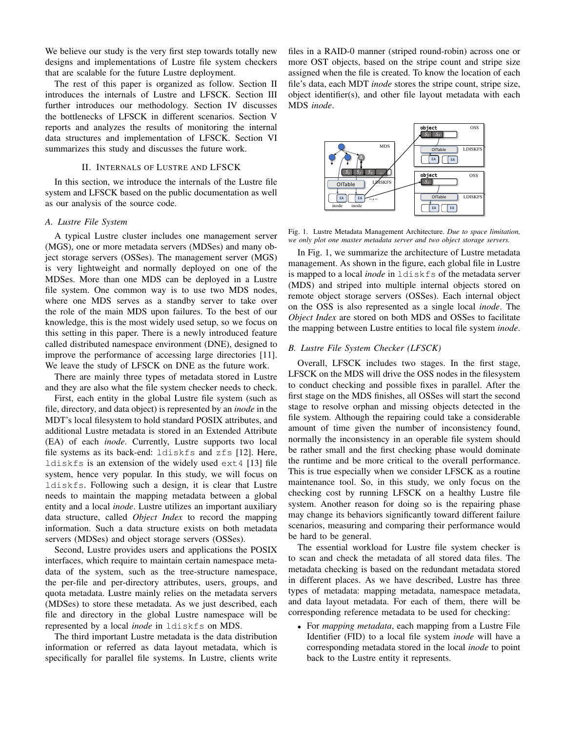We believe our study is the very first step towards totally new designs and implementations of Lustre file system checkers that are scalable for the future Lustre deployment.

The rest of this paper is organized as follow. Section II introduces the internals of Lustre and LFSCK. Section III further introduces our methodology. Section IV discusses the bottlenecks of LFSCK in different scenarios. Section V reports and analyzes the results of monitoring the internal data structures and implementation of LFSCK. Section VI summarizes this study and discusses the future work.

### II. INTERNALS OF LUSTRE AND LFSCK

In this section, we introduce the internals of the Lustre file system and LFSCK based on the public documentation as well as our analysis of the source code.

## *A. Lustre File System*

A typical Lustre cluster includes one management server (MGS), one or more metadata servers (MDSes) and many object storage servers (OSSes). The management server (MGS) is very lightweight and normally deployed on one of the MDSes. More than one MDS can be deployed in a Lustre file system. One common way is to use two MDS nodes, where one MDS serves as a standby server to take over the role of the main MDS upon failures. To the best of our knowledge, this is the most widely used setup, so we focus on this setting in this paper. There is a newly introduced feature called distributed namespace environment (DNE), designed to improve the performance of accessing large directories [11]. We leave the study of LFSCK on DNE as the future work.

There are mainly three types of metadata stored in Lustre and they are also what the file system checker needs to check.

First, each entity in the global Lustre file system (such as file, directory, and data object) is represented by an *inode* in the MDT's local filesystem to hold standard POSIX attributes, and additional Lustre metadata is stored in an Extended Attribute (EA) of each *inode*. Currently, Lustre supports two local file systems as its back-end: ldiskfs and zfs [12]. Here, ldiskfs is an extension of the widely used ext4 [13] file system, hence very popular. In this study, we will focus on ldiskfs. Following such a design, it is clear that Lustre needs to maintain the mapping metadata between a global entity and a local *inode*. Lustre utilizes an important auxiliary data structure, called *Object Index* to record the mapping information. Such a data structure exists on both metadata servers (MDSes) and object storage servers (OSSes).

Second, Lustre provides users and applications the POSIX interfaces, which require to maintain certain namespace metadata of the system, such as the tree-structure namespace, the per-file and per-directory attributes, users, groups, and quota metadata. Lustre mainly relies on the metadata servers (MDSes) to store these metadata. As we just described, each file and directory in the global Lustre namespace will be represented by a local *inode* in ldiskfs on MDS.

The third important Lustre metadata is the data distribution information or referred as data layout metadata, which is specifically for parallel file systems. In Lustre, clients write files in a RAID-0 manner (striped round-robin) across one or more OST objects, based on the stripe count and stripe size assigned when the file is created. To know the location of each file's data, each MDT *inode* stores the stripe count, stripe size, object identifier(s), and other file layout metadata with each MDS *inode*.



Fig. 1. Lustre Metadata Management Architecture. *Due to space limitation, we only plot one master metadata server and two object storage servers.*

In Fig. 1, we summarize the architecture of Lustre metadata management. As shown in the figure, each global file in Lustre is mapped to a local *inode* in ldiskfs of the metadata server (MDS) and striped into multiple internal objects stored on remote object storage servers (OSSes). Each internal object on the OSS is also represented as a single local *inode*. The *Object Index* are stored on both MDS and OSSes to facilitate the mapping between Lustre entities to local file system *inode*.

## *B. Lustre File System Checker (LFSCK)*

Overall, LFSCK includes two stages. In the first stage, LFSCK on the MDS will drive the OSS nodes in the filesystem to conduct checking and possible fixes in parallel. After the first stage on the MDS finishes, all OSSes will start the second stage to resolve orphan and missing objects detected in the file system. Although the repairing could take a considerable amount of time given the number of inconsistency found, normally the inconsistency in an operable file system should be rather small and the first checking phase would dominate the runtime and be more critical to the overall performance. This is true especially when we consider LFSCK as a routine maintenance tool. So, in this study, we only focus on the checking cost by running LFSCK on a healthy Lustre file system. Another reason for doing so is the repairing phase may change its behaviors significantly toward different failure scenarios, measuring and comparing their performance would be hard to be general.

The essential workload for Lustre file system checker is to scan and check the metadata of all stored data files. The metadata checking is based on the redundant metadata stored in different places. As we have described, Lustre has three types of metadata: mapping metadata, namespace metadata, and data layout metadata. For each of them, there will be corresponding reference metadata to be used for checking:

• For *mapping metadata*, each mapping from a Lustre File Identifier (FID) to a local file system *inode* will have a corresponding metadata stored in the local *inode* to point back to the Lustre entity it represents.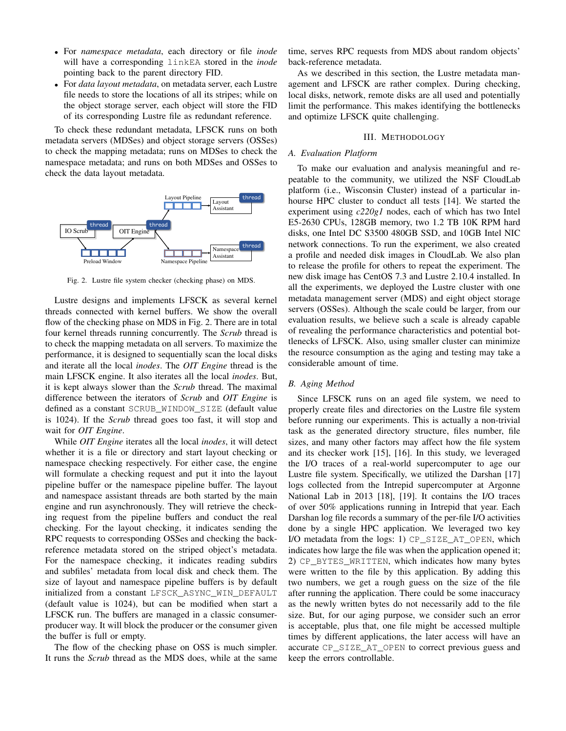- For *namespace metadata*, each directory or file *inode* will have a corresponding linkEA stored in the *inode* pointing back to the parent directory FID.
- For *data layout metadata*, on metadata server, each Lustre file needs to store the locations of all its stripes; while on the object storage server, each object will store the FID of its corresponding Lustre file as redundant reference.

To check these redundant metadata, LFSCK runs on both metadata servers (MDSes) and object storage servers (OSSes) to check the mapping metadata; runs on MDSes to check the namespace metadata; and runs on both MDSes and OSSes to check the data layout metadata.



Fig. 2. Lustre file system checker (checking phase) on MDS.

Lustre designs and implements LFSCK as several kernel threads connected with kernel buffers. We show the overall flow of the checking phase on MDS in Fig. 2. There are in total four kernel threads running concurrently. The *Scrub* thread is to check the mapping metadata on all servers. To maximize the performance, it is designed to sequentially scan the local disks and iterate all the local *inodes*. The *OIT Engine* thread is the main LFSCK engine. It also iterates all the local *inodes*. But, it is kept always slower than the *Scrub* thread. The maximal difference between the iterators of *Scrub* and *OIT Engine* is defined as a constant SCRUB\_WINDOW\_SIZE (default value is 1024). If the *Scrub* thread goes too fast, it will stop and wait for *OIT Engine*.

While *OIT Engine* iterates all the local *inodes*, it will detect whether it is a file or directory and start layout checking or namespace checking respectively. For either case, the engine will formulate a checking request and put it into the layout pipeline buffer or the namespace pipeline buffer. The layout and namespace assistant threads are both started by the main engine and run asynchronously. They will retrieve the checking request from the pipeline buffers and conduct the real checking. For the layout checking, it indicates sending the RPC requests to corresponding OSSes and checking the backreference metadata stored on the striped object's metadata. For the namespace checking, it indicates reading subdirs and subfiles' metadata from local disk and check them. The size of layout and namespace pipeline buffers is by default initialized from a constant LFSCK\_ASYNC\_WIN\_DEFAULT (default value is 1024), but can be modified when start a LFSCK run. The buffers are managed in a classic consumerproducer way. It will block the producer or the consumer given the buffer is full or empty.

The flow of the checking phase on OSS is much simpler. It runs the *Scrub* thread as the MDS does, while at the same

time, serves RPC requests from MDS about random objects' back-reference metadata.

As we described in this section, the Lustre metadata management and LFSCK are rather complex. During checking, local disks, network, remote disks are all used and potentially limit the performance. This makes identifying the bottlenecks and optimize LFSCK quite challenging.

## III. METHODOLOGY

#### *A. Evaluation Platform*

To make our evaluation and analysis meaningful and repeatable to the community, we utilized the NSF CloudLab platform (i.e., Wisconsin Cluster) instead of a particular inhourse HPC cluster to conduct all tests [14]. We started the experiment using *c220g1* nodes, each of which has two Intel E5-2630 CPUs, 128GB memory, two 1.2 TB 10K RPM hard disks, one Intel DC S3500 480GB SSD, and 10GB Intel NIC network connections. To run the experiment, we also created a profile and needed disk images in CloudLab. We also plan to release the profile for others to repeat the experiment. The new disk image has CentOS 7.3 and Lustre 2.10.4 installed. In all the experiments, we deployed the Lustre cluster with one metadata management server (MDS) and eight object storage servers (OSSes). Although the scale could be larger, from our evaluation results, we believe such a scale is already capable of revealing the performance characteristics and potential bottlenecks of LFSCK. Also, using smaller cluster can minimize the resource consumption as the aging and testing may take a considerable amount of time.

### *B. Aging Method*

Since LFSCK runs on an aged file system, we need to properly create files and directories on the Lustre file system before running our experiments. This is actually a non-trivial task as the generated directory structure, files number, file sizes, and many other factors may affect how the file system and its checker work [15], [16]. In this study, we leveraged the I/O traces of a real-world supercomputer to age our Lustre file system. Specifically, we utilized the Darshan [17] logs collected from the Intrepid supercomputer at Argonne National Lab in 2013 [18], [19]. It contains the I/O traces of over 50% applications running in Intrepid that year. Each Darshan log file records a summary of the per-file I/O activities done by a single HPC application. We leveraged two key I/O metadata from the logs: 1) CP\_SIZE\_AT\_OPEN, which indicates how large the file was when the application opened it; 2) CP\_BYTES\_WRITTEN, which indicates how many bytes were written to the file by this application. By adding this two numbers, we get a rough guess on the size of the file after running the application. There could be some inaccuracy as the newly written bytes do not necessarily add to the file size. But, for our aging purpose, we consider such an error is acceptable, plus that, one file might be accessed multiple times by different applications, the later access will have an accurate CP\_SIZE\_AT\_OPEN to correct previous guess and keep the errors controllable.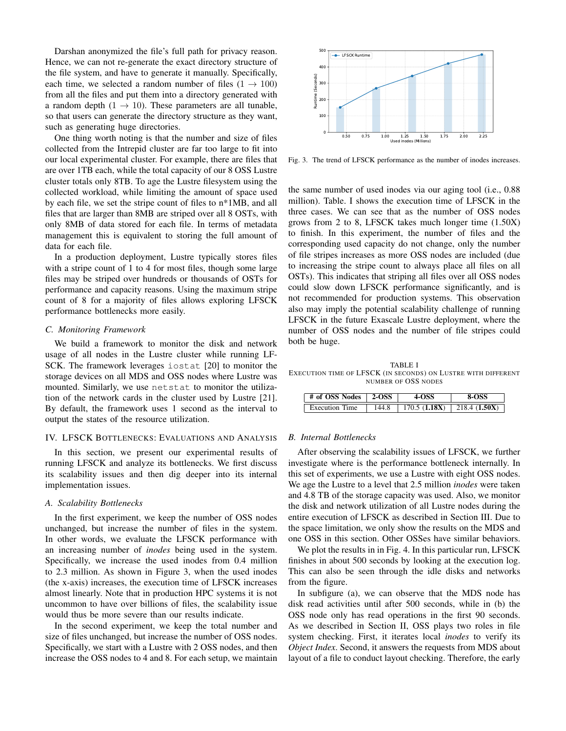Darshan anonymized the file's full path for privacy reason. Hence, we can not re-generate the exact directory structure of the file system, and have to generate it manually. Specifically, each time, we selected a random number of files  $(1 \rightarrow 100)$ from all the files and put them into a directory generated with a random depth  $(1 \rightarrow 10)$ . These parameters are all tunable, so that users can generate the directory structure as they want, such as generating huge directories.

One thing worth noting is that the number and size of files collected from the Intrepid cluster are far too large to fit into our local experimental cluster. For example, there are files that are over 1TB each, while the total capacity of our 8 OSS Lustre cluster totals only 8TB. To age the Lustre filesystem using the collected workload, while limiting the amount of space used by each file, we set the stripe count of files to n\*1MB, and all files that are larger than 8MB are striped over all 8 OSTs, with only 8MB of data stored for each file. In terms of metadata management this is equivalent to storing the full amount of data for each file.

In a production deployment, Lustre typically stores files with a stripe count of 1 to 4 for most files, though some large files may be striped over hundreds or thousands of OSTs for performance and capacity reasons. Using the maximum stripe count of 8 for a majority of files allows exploring LFSCK performance bottlenecks more easily.

#### *C. Monitoring Framework*

We build a framework to monitor the disk and network usage of all nodes in the Lustre cluster while running LF-SCK. The framework leverages iostat [20] to monitor the storage devices on all MDS and OSS nodes where Lustre was mounted. Similarly, we use netstat to monitor the utilization of the network cards in the cluster used by Lustre [21]. By default, the framework uses 1 second as the interval to output the states of the resource utilization.

#### IV. LFSCK BOTTLENECKS: EVALUATIONS AND ANALYSIS

In this section, we present our experimental results of running LFSCK and analyze its bottlenecks. We first discuss its scalability issues and then dig deeper into its internal implementation issues.

#### *A. Scalability Bottlenecks*

In the first experiment, we keep the number of OSS nodes unchanged, but increase the number of files in the system. In other words, we evaluate the LFSCK performance with an increasing number of *inodes* being used in the system. Specifically, we increase the used inodes from 0.4 million to 2.3 million. As shown in Figure 3, when the used inodes (the x-axis) increases, the execution time of LFSCK increases almost linearly. Note that in production HPC systems it is not uncommon to have over billions of files, the scalability issue would thus be more severe than our results indicate.

In the second experiment, we keep the total number and size of files unchanged, but increase the number of OSS nodes. Specifically, we start with a Lustre with 2 OSS nodes, and then increase the OSS nodes to 4 and 8. For each setup, we maintain



Fig. 3. The trend of LFSCK performance as the number of inodes increases.

the same number of used inodes via our aging tool (i.e., 0.88 million). Table. I shows the execution time of LFSCK in the three cases. We can see that as the number of OSS nodes grows from 2 to 8, LFSCK takes much longer time (1.50X) to finish. In this experiment, the number of files and the corresponding used capacity do not change, only the number of file stripes increases as more OSS nodes are included (due to increasing the stripe count to always place all files on all OSTs). This indicates that striping all files over all OSS nodes could slow down LFSCK performance significantly, and is not recommended for production systems. This observation also may imply the potential scalability challenge of running LFSCK in the future Exascale Lustre deployment, where the number of OSS nodes and the number of file stripes could both be huge.

TABLE I EXECUTION TIME OF LFSCK (IN SECONDS) ON LUSTRE WITH DIFFERENT NUMBER OF OSS NODES

| $\pm$ # of OSS Nodes $\pm$ 2-OSS | <b>4-OSS</b>                                            | <b>8-OSS</b> |
|----------------------------------|---------------------------------------------------------|--------------|
| <b>Execution Time</b>            | 144.8   170.5 ( <b>1.18X</b> )   218.4 ( <b>1.50X</b> ) |              |

#### *B. Internal Bottlenecks*

After observing the scalability issues of LFSCK, we further investigate where is the performance bottleneck internally. In this set of experiments, we use a Lustre with eight OSS nodes. We age the Lustre to a level that 2.5 million *inodes* were taken and 4.8 TB of the storage capacity was used. Also, we monitor the disk and network utilization of all Lustre nodes during the entire execution of LFSCK as described in Section III. Due to the space limitation, we only show the results on the MDS and one OSS in this section. Other OSSes have similar behaviors.

We plot the results in in Fig. 4. In this particular run, LFSCK finishes in about 500 seconds by looking at the execution log. This can also be seen through the idle disks and networks from the figure.

In subfigure (a), we can observe that the MDS node has disk read activities until after 500 seconds, while in (b) the OSS node only has read operations in the first 90 seconds. As we described in Section II, OSS plays two roles in file system checking. First, it iterates local *inodes* to verify its *Object Index*. Second, it answers the requests from MDS about layout of a file to conduct layout checking. Therefore, the early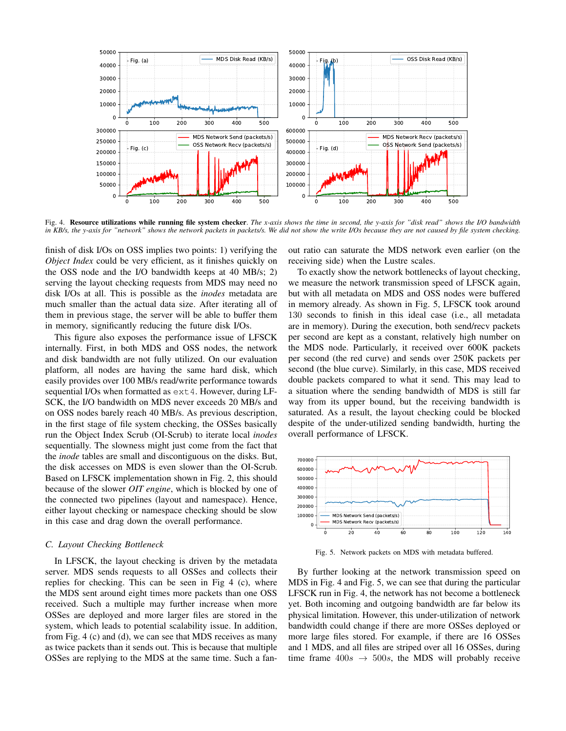

Fig. 4. Resource utilizations while running file system checker. *The x-axis shows the time in second, the y-axis for "disk read" shows the I/O bandwidth in KB/s, the y-axis for "network" shows the network packets in packets/s. We did not show the write I/Os because they are not caused by file system checking.*

finish of disk I/Os on OSS implies two points: 1) verifying the *Object Index* could be very efficient, as it finishes quickly on the OSS node and the I/O bandwidth keeps at 40 MB/s; 2) serving the layout checking requests from MDS may need no disk I/Os at all. This is possible as the *inodes* metadata are much smaller than the actual data size. After iterating all of them in previous stage, the server will be able to buffer them in memory, significantly reducing the future disk I/Os.

This figure also exposes the performance issue of LFSCK internally. First, in both MDS and OSS nodes, the network and disk bandwidth are not fully utilized. On our evaluation platform, all nodes are having the same hard disk, which easily provides over 100 MB/s read/write performance towards sequential I/Os when formatted as  $ext{ext}4$ . However, during LF-SCK, the I/O bandwidth on MDS never exceeds 20 MB/s and on OSS nodes barely reach 40 MB/s. As previous description, in the first stage of file system checking, the OSSes basically run the Object Index Scrub (OI-Scrub) to iterate local *inodes* sequentially. The slowness might just come from the fact that the *inode* tables are small and discontiguous on the disks. But, the disk accesses on MDS is even slower than the OI-Scrub. Based on LFSCK implementation shown in Fig. 2, this should because of the slower *OIT engine*, which is blocked by one of the connected two pipelines (layout and namespace). Hence, either layout checking or namespace checking should be slow in this case and drag down the overall performance.

#### *C. Layout Checking Bottleneck*

In LFSCK, the layout checking is driven by the metadata server. MDS sends requests to all OSSes and collects their replies for checking. This can be seen in Fig 4 (c), where the MDS sent around eight times more packets than one OSS received. Such a multiple may further increase when more OSSes are deployed and more larger files are stored in the system, which leads to potential scalability issue. In addition, from Fig. 4 (c) and (d), we can see that MDS receives as many as twice packets than it sends out. This is because that multiple OSSes are replying to the MDS at the same time. Such a fanout ratio can saturate the MDS network even earlier (on the receiving side) when the Lustre scales.

To exactly show the network bottlenecks of layout checking, we measure the network transmission speed of LFSCK again, but with all metadata on MDS and OSS nodes were buffered in memory already. As shown in Fig. 5, LFSCK took around 130 seconds to finish in this ideal case (i.e., all metadata are in memory). During the execution, both send/recv packets per second are kept as a constant, relatively high number on the MDS node. Particularly, it received over 600K packets per second (the red curve) and sends over 250K packets per second (the blue curve). Similarly, in this case, MDS received double packets compared to what it send. This may lead to a situation where the sending bandwidth of MDS is still far way from its upper bound, but the receiving bandwidth is saturated. As a result, the layout checking could be blocked despite of the under-utilized sending bandwidth, hurting the overall performance of LFSCK.



Fig. 5. Network packets on MDS with metadata buffered.

By further looking at the network transmission speed on MDS in Fig. 4 and Fig. 5, we can see that during the particular LFSCK run in Fig. 4, the network has not become a bottleneck yet. Both incoming and outgoing bandwidth are far below its physical limitation. However, this under-utilization of network bandwidth could change if there are more OSSes deployed or more large files stored. For example, if there are 16 OSSes and 1 MDS, and all files are striped over all 16 OSSes, during time frame  $400s \rightarrow 500s$ , the MDS will probably receive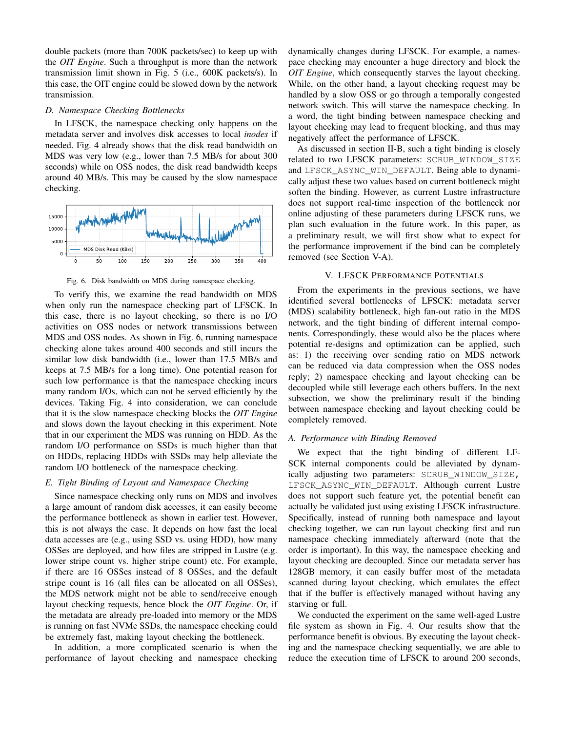double packets (more than 700K packets/sec) to keep up with the *OIT Engine*. Such a throughput is more than the network transmission limit shown in Fig. 5 (i.e., 600K packets/s). In this case, the OIT engine could be slowed down by the network transmission.

## *D. Namespace Checking Bottlenecks*

In LFSCK, the namespace checking only happens on the metadata server and involves disk accesses to local *inodes* if needed. Fig. 4 already shows that the disk read bandwidth on MDS was very low (e.g., lower than 7.5 MB/s for about 300 seconds) while on OSS nodes, the disk read bandwidth keeps around 40 MB/s. This may be caused by the slow namespace checking.



Fig. 6. Disk bandwidth on MDS during namespace checking.

To verify this, we examine the read bandwidth on MDS when only run the namespace checking part of LFSCK. In this case, there is no layout checking, so there is no I/O activities on OSS nodes or network transmissions between MDS and OSS nodes. As shown in Fig. 6, running namespace checking alone takes around 400 seconds and still incurs the similar low disk bandwidth (i.e., lower than 17.5 MB/s and keeps at 7.5 MB/s for a long time). One potential reason for such low performance is that the namespace checking incurs many random I/Os, which can not be served efficiently by the devices. Taking Fig. 4 into consideration, we can conclude that it is the slow namespace checking blocks the *OIT Engine* and slows down the layout checking in this experiment. Note that in our experiment the MDS was running on HDD. As the random I/O performance on SSDs is much higher than that on HDDs, replacing HDDs with SSDs may help alleviate the random I/O bottleneck of the namespace checking.

## *E. Tight Binding of Layout and Namespace Checking*

Since namespace checking only runs on MDS and involves a large amount of random disk accesses, it can easily become the performance bottleneck as shown in earlier test. However, this is not always the case. It depends on how fast the local data accesses are (e.g., using SSD vs. using HDD), how many OSSes are deployed, and how files are stripped in Lustre (e.g. lower stripe count vs. higher stripe count) etc. For example, if there are 16 OSSes instead of 8 OSSes, and the default stripe count is 16 (all files can be allocated on all OSSes), the MDS network might not be able to send/receive enough layout checking requests, hence block the *OIT Engine*. Or, if the metadata are already pre-loaded into memory or the MDS is running on fast NVMe SSDs, the namespace checking could be extremely fast, making layout checking the bottleneck.

In addition, a more complicated scenario is when the performance of layout checking and namespace checking dynamically changes during LFSCK. For example, a namespace checking may encounter a huge directory and block the *OIT Engine*, which consequently starves the layout checking. While, on the other hand, a layout checking request may be handled by a slow OSS or go through a temporally congested network switch. This will starve the namespace checking. In a word, the tight binding between namespace checking and layout checking may lead to frequent blocking, and thus may negatively affect the performance of LFSCK.

As discussed in section II-B, such a tight binding is closely related to two LFSCK parameters: SCRUB\_WINDOW\_SIZE and LFSCK\_ASYNC\_WIN\_DEFAULT. Being able to dynamically adjust these two values based on current bottleneck might soften the binding. However, as current Lustre infrastructure does not support real-time inspection of the bottleneck nor online adjusting of these parameters during LFSCK runs, we plan such evaluation in the future work. In this paper, as a preliminary result, we will first show what to expect for the performance improvement if the bind can be completely removed (see Section V-A).

### V. LFSCK PERFORMANCE POTENTIALS

From the experiments in the previous sections, we have identified several bottlenecks of LFSCK: metadata server (MDS) scalability bottleneck, high fan-out ratio in the MDS network, and the tight binding of different internal components. Correspondingly, these would also be the places where potential re-designs and optimization can be applied, such as: 1) the receiving over sending ratio on MDS network can be reduced via data compression when the OSS nodes reply; 2) namespace checking and layout checking can be decoupled while still leverage each others buffers. In the next subsection, we show the preliminary result if the binding between namespace checking and layout checking could be completely removed.

## *A. Performance with Binding Removed*

We expect that the tight binding of different LF-SCK internal components could be alleviated by dynamically adjusting two parameters: SCRUB\_WINDOW\_SIZE, LFSCK ASYNC WIN DEFAULT. Although current Lustre does not support such feature yet, the potential benefit can actually be validated just using existing LFSCK infrastructure. Specifically, instead of running both namespace and layout checking together, we can run layout checking first and run namespace checking immediately afterward (note that the order is important). In this way, the namespace checking and layout checking are decoupled. Since our metadata server has 128GB memory, it can easily buffer most of the metadata scanned during layout checking, which emulates the effect that if the buffer is effectively managed without having any starving or full.

We conducted the experiment on the same well-aged Lustre file system as shown in Fig. 4. Our results show that the performance benefit is obvious. By executing the layout checking and the namespace checking sequentially, we are able to reduce the execution time of LFSCK to around 200 seconds,